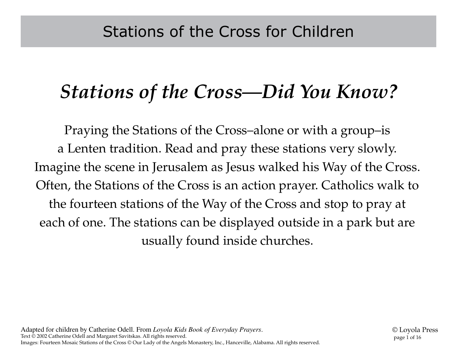#### *Stations of the Cross—Did You Know?*

Praying the Stations of the Cross–alone or with a group–is a Lenten tradition. Read and pray these stations very slowly. Imagine the scene in Jerusalem as Jesus walked his Way of the Cross. Often, the Stations of the Cross is an action prayer. Catholics walk to the fourteen stations of the Way of the Cross and stop to pray at each of one. The stations can be displayed outside in a park but are usually found inside churches.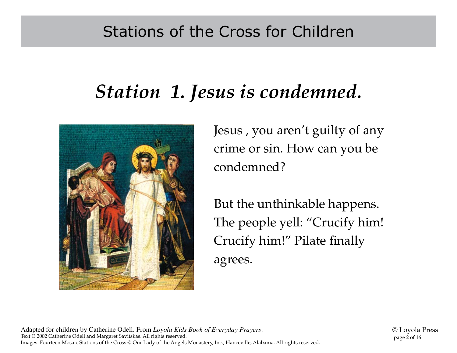# *Station 1. Jesus is condemned.*



Jesus , you aren't guilty of any crime or sin. How can you be condemned?

But the unthinkable happens. The people yell: "Crucify him! Crucify him!" Pilate finally agrees.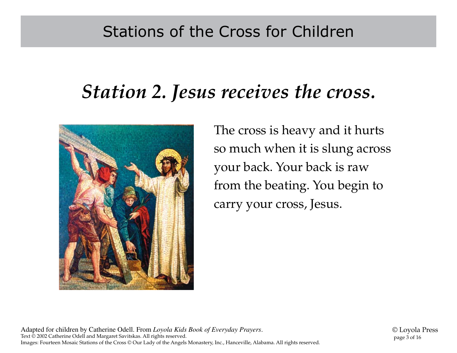#### *Station 2. Jesus receives the cross.*



The cross is heavy and it hurts so much when it is slung across your back. Your back is raw from the beating. You begin to carry your cross, Jesus.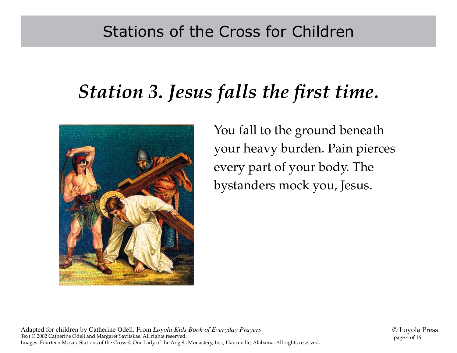# *Station 3. Jesus falls the first time.*



You fall to the ground beneath your heavy burden. Pain pierces every part of your body. The bystanders mock you, Jesus.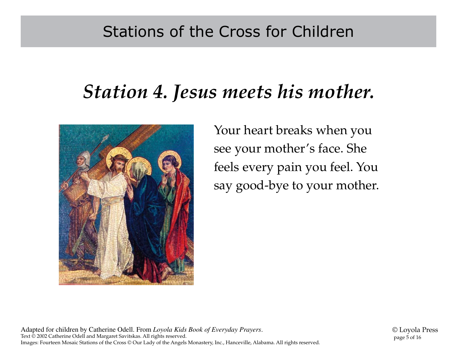#### *Station 4. Jesus meets his mother.*



Your heart breaks when you see your mother's face. She feels every pain you feel. You say good-bye to your mother.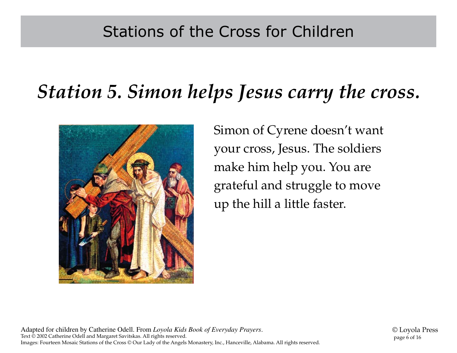# *Station 5. Simon helps Jesus carry the cross.*



Simon of Cyrene doesn't want your cross, Jesus. The soldiers make him help you. You are grateful and struggle to move up the hill a little faster.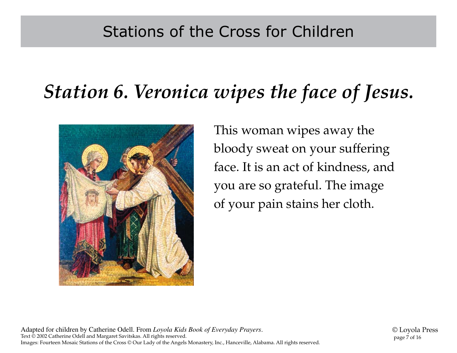# *Station 6. Veronica wipes the face of Jesus.*



This woman wipes away the bloody sweat on your suffering face. It is an act of kindness, and you are so grateful. The image of your pain stains her cloth.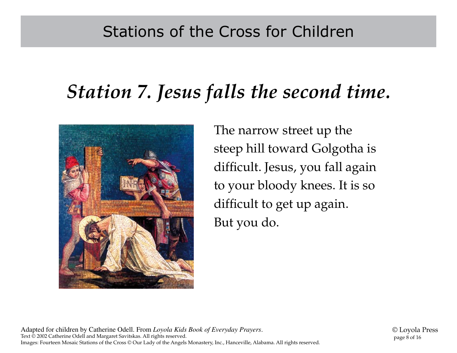# *Station 7. Jesus falls the second time.*



The narrow street up the steep hill toward Golgotha is difficult. Jesus, you fall again to your bloody knees. It is so difficult to get up again. But you do.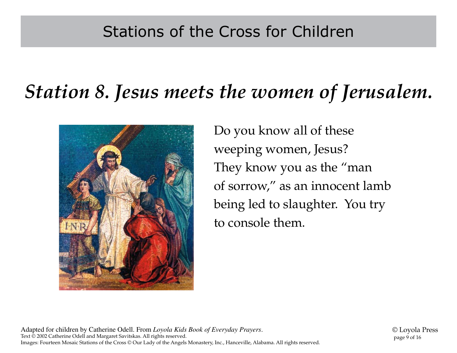### *Station 8. Jesus meets the women of Jerusalem.*



Do you know all of these weeping women, Jesus? They know you as the "man of sorrow," as an innocent lamb being led to slaughter. You try to console them.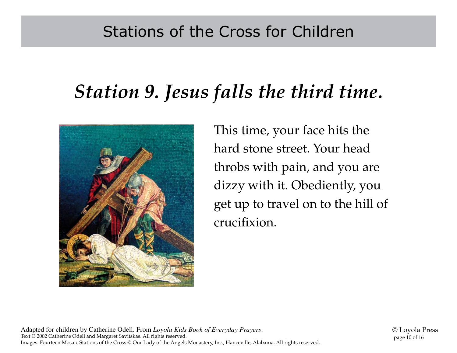# *Station 9. Jesus falls the third time.*



This time, your face hits the hard stone street. Your head throbs with pain, and you are dizzy with it. Obediently, you get up to travel on to the hill of crucifixion.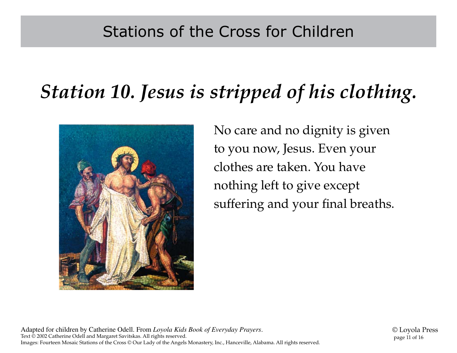# *Station 10. Jesus is stripped of his clothing.*



No care and no dignity is given to you now, Jesus. Even your clothes are taken. You have nothing left to give except suffering and your final breaths.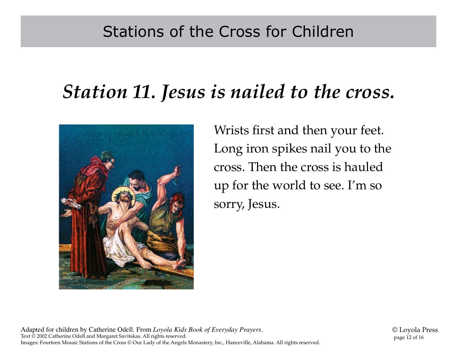#### *Station 11. Jesus is nailed to the cross.*



Wrists first and then your feet. Long iron spikes nail you to the cross. Then the cross is hauled up for the world to see. I'm so sorry, Jesus.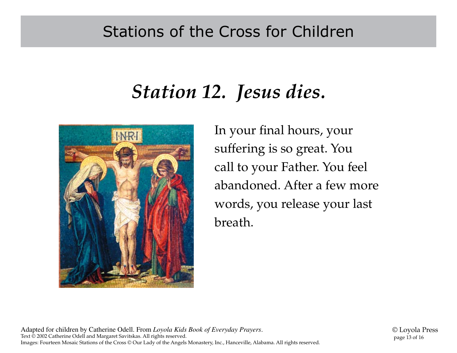#### Stations of the Cross for Children

### *Station 12. Jesus dies.*



In your final hours, your suffering is so great. You call to your Father. You feel abandoned. After a few more words, you release your last breath.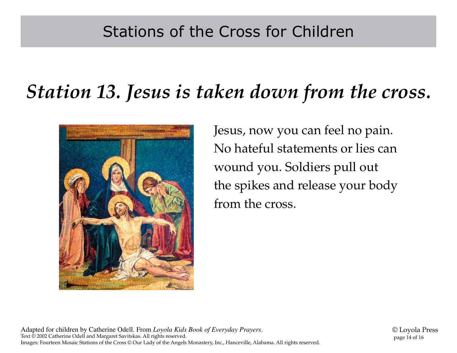### *Station 13. Jesus is taken down from the cross.*



Jesus, now you can feel no pain. No hateful statements or lies can wound you. Soldiers pull out the spikes and release your body from the cross.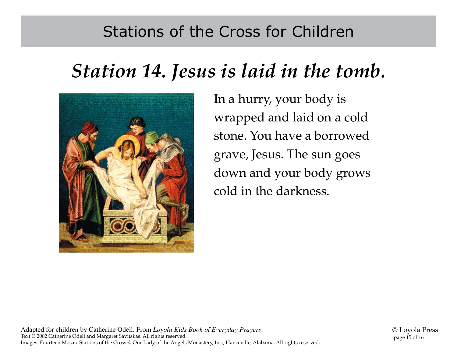#### Stations of the Cross for Children

# *Station 14. Jesus is laid in the tomb.*



In a hurry, your body is wrapped and laid on a cold stone. You have a borrowed grave, Jesus. The sun goes down and your body grows cold in the darkness.